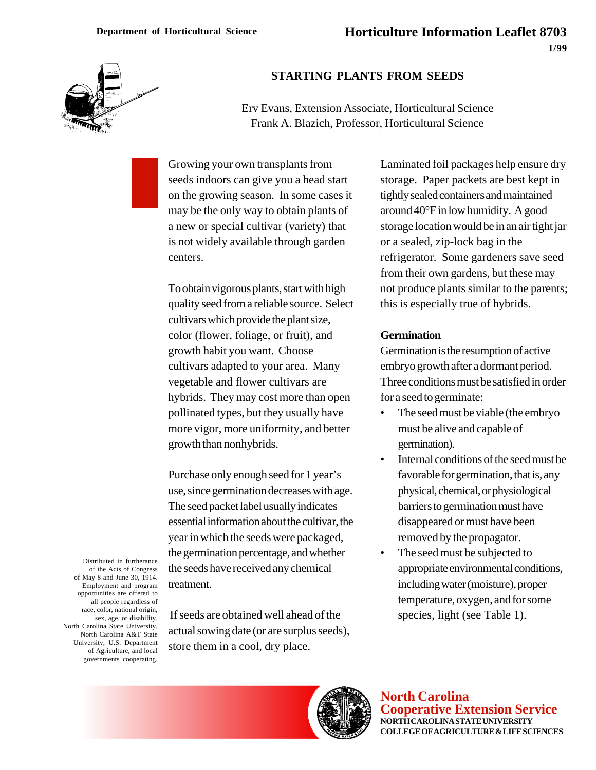

# **STARTING PLANTS FROM SEEDS**

Erv Evans, Extension Associate, Horticultural Science Frank A. Blazich, Professor, Horticultural Science

Growing your own transplants from seeds indoors can give you a head start on the growing season. In some cases it may be the only way to obtain plants of a new or special cultivar (variety) that is not widely available through garden centers.

To obtain vigorous plants, start with high quality seed from a reliable source. Select cultivars which provide the plant size, color (flower, foliage, or fruit), and growth habit you want. Choose cultivars adapted to your area. Many vegetable and flower cultivars are hybrids. They may cost more than open pollinated types, but they usually have more vigor, more uniformity, and better growth than nonhybrids.

Purchase only enough seed for 1 year's use, since germination decreases with age. The seed packet label usually indicates essential information about the cultivar, the year in which the seeds were packaged, the germination percentage, and whether the seeds have received any chemical treatment.

Distributed in furtherance of the Acts of Congress of May 8 and June 30, 1914. Employment and program opportunities are offered to all people regardless of race, color, national origin, sex, age, or disability. North Carolina State University, North Carolina A&T State University, U.S. Department of Agriculture, and local governments cooperating.

 If seeds are obtained well ahead of the actual sowing date (or are surplus seeds), store them in a cool, dry place.

Laminated foil packages help ensure dry storage. Paper packets are best kept in tightly sealed containers and maintained around 40°F in low humidity. A good storage location would be in an air tight jar or a sealed, zip-lock bag in the refrigerator. Some gardeners save seed from their own gardens, but these may not produce plants similar to the parents; this is especially true of hybrids.

#### **Germination**

Germination is the resumption of active embryo growth after a dormant period. Three conditions must be satisfied in order for a seed to germinate:

- The seed must be viable (the embryo must be alive and capable of germination).
- Internal conditions of the seed must be favorable for germination, that is, any physical, chemical, or physiological barriers to germination must have disappeared or must have been removed by the propagator.
- The seed must be subjected to appropriate environmental conditions, including water (moisture), proper temperature, oxygen, and for some species, light (see Table 1).



**North Carolina Cooperative Extension Service NORTH CAROLINA STATE UNIVERSITY COLLEGE OF AGRICULTURE & LIFE SCIENCES**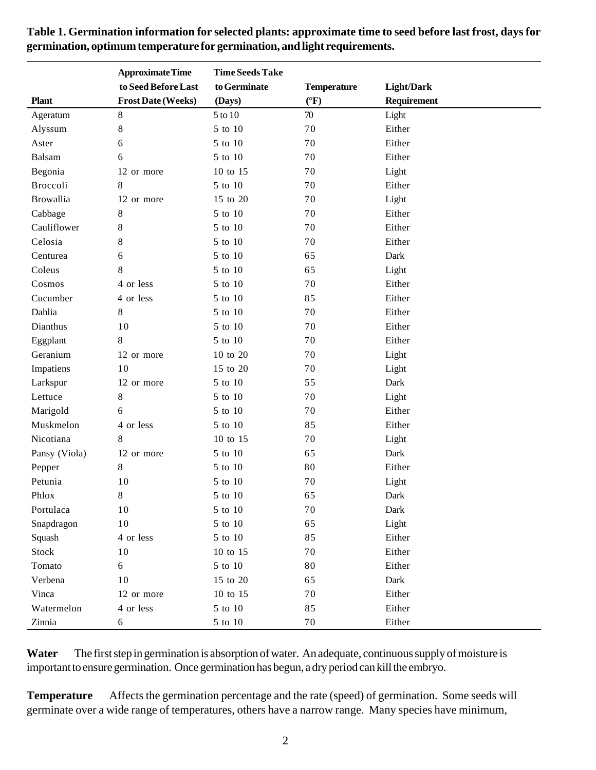|                  | <b>Approximate Time</b>   | <b>Time Seeds Take</b> |                    |                   |
|------------------|---------------------------|------------------------|--------------------|-------------------|
|                  | to Seed Before Last       | to Germinate           | <b>Temperature</b> | <b>Light/Dark</b> |
| <b>Plant</b>     | <b>Frost Date (Weeks)</b> | (Days)                 | $({}^{\circ}F)$    | Requirement       |
| Ageratum         | $8\,$                     | 5 to 10                | 70                 | Light             |
| Alyssum          | $\,8\,$                   | 5 to 10                | 70                 | Either            |
| Aster            | 6                         | 5 to 10                | 70                 | Either            |
| Balsam           | 6                         | 5 to 10                | 70                 | Either            |
| Begonia          | 12 or more                | 10 to 15               | 70                 | Light             |
| Broccoli         | 8                         | 5 to 10                | 70                 | Either            |
| <b>Browallia</b> | 12 or more                | 15 to 20               | 70                 | Light             |
| Cabbage          | 8                         | 5 to 10                | 70                 | Either            |
| Cauliflower      | 8                         | 5 to 10                | 70                 | Either            |
| Celosia          | 8                         | 5 to 10                | 70                 | Either            |
| Centurea         | 6                         | 5 to 10                | 65                 | Dark              |
| Coleus           | 8                         | 5 to 10                | 65                 | Light             |
| Cosmos           | 4 or less                 | 5 to 10                | 70                 | Either            |
| Cucumber         | 4 or less                 | 5 to 10                | 85                 | Either            |
| Dahlia           | 8                         | 5 to 10                | 70                 | Either            |
| Dianthus         | 10                        | 5 to 10                | 70                 | Either            |
| Eggplant         | 8                         | 5 to 10                | 70                 | Either            |
| Geranium         | 12 or more                | 10 to 20               | 70                 | Light             |
| Impatiens        | 10                        | 15 to 20               | 70                 | Light             |
| Larkspur         | 12 or more                | 5 to 10                | 55                 | Dark              |
| Lettuce          | 8                         | 5 to 10                | 70                 | Light             |
| Marigold         | 6                         | 5 to 10                | 70                 | Either            |
| Muskmelon        | 4 or less                 | 5 to 10                | 85                 | Either            |
| Nicotiana        | 8                         | 10 to 15               | 70                 | Light             |
| Pansy (Viola)    | 12 or more                | 5 to 10                | 65                 | Dark              |
| Pepper           | 8                         | 5 to 10                | 80                 | Either            |
| Petunia          | 10                        | 5 to 10                | 70                 | Light             |
| Phlox            | 8                         | 5 to 10                | 65                 | Dark              |
| Portulaca        | 10                        | $5$ to $10\,$          | 70                 | Dark              |
| Snapdragon       | $10\,$                    | 5 to 10                | 65                 | Light             |
| Squash           | 4 or less                 | 5 to 10                | 85                 | Either            |
| Stock            | 10                        | 10 to 15               | 70                 | Either            |
| Tomato           | 6                         | $5$ to $10\,$          | 80                 | Either            |
| Verbena          | 10                        | 15 to 20               | 65                 | Dark              |
| Vinca            | 12 or more                | 10 to 15               | 70                 | Either            |
| Watermelon       | 4 or less                 | $5$ to $10\,$          | 85                 | Either            |
| Zinnia           | 6                         | 5 to 10                | 70                 | Either            |

**Table 1. Germination information for selected plants: approximate time to seed before last frost, days for germination, optimum temperature for germination, and light requirements.**

Water — The first step in germination is absorption of water. An adequate, continuous supply of moisture is important to ensure germination. Once germination has begun, a dry period can kill the embryo.

**Temperature** — Affects the germination percentage and the rate (speed) of germination. Some seeds will germinate over a wide range of temperatures, others have a narrow range. Many species have minimum,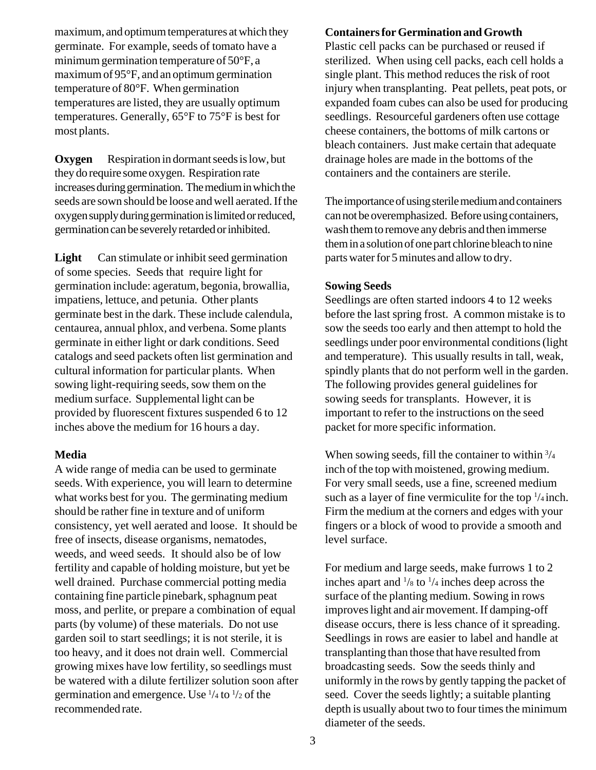maximum, and optimum temperatures at which they germinate. For example, seeds of tomato have a minimum germination temperature of 50°F, a maximum of 95°F, and an optimum germination temperature of 80°F. When germination temperatures are listed, they are usually optimum temperatures. Generally, 65°F to 75°F is best for most plants.

**Oxygen** — Respiration in dormant seeds is low, but they do require some oxygen. Respiration rate increases during germination. The medium in which the seeds are sown should be loose and well aerated. If the oxygen supply during germination is limited or reduced, germination can be severely retarded or inhibited.

**Light** — Can stimulate or inhibit seed germination of some species. Seeds that require light for germination include: ageratum, begonia, browallia, impatiens, lettuce, and petunia. Other plants germinate best in the dark. These include calendula, centaurea, annual phlox, and verbena. Some plants germinate in either light or dark conditions. Seed catalogs and seed packets often list germination and cultural information for particular plants. When sowing light-requiring seeds, sow them on the medium surface. Supplemental light can be provided by fluorescent fixtures suspended 6 to 12 inches above the medium for 16 hours a day.

## **Media**

A wide range of media can be used to germinate seeds. With experience, you will learn to determine what works best for you. The germinating medium should be rather fine in texture and of uniform consistency, yet well aerated and loose. It should be free of insects, disease organisms, nematodes, weeds, and weed seeds. It should also be of low fertility and capable of holding moisture, but yet be well drained. Purchase commercial potting media containing fine particle pinebark, sphagnum peat moss, and perlite, or prepare a combination of equal parts (by volume) of these materials. Do not use garden soil to start seedlings; it is not sterile, it is too heavy, and it does not drain well. Commercial growing mixes have low fertility, so seedlings must be watered with a dilute fertilizer solution soon after germination and emergence. Use  $\frac{1}{4}$  to  $\frac{1}{2}$  of the recommended rate.

### **Containers for Germination and Growth**

Plastic cell packs can be purchased or reused if sterilized. When using cell packs, each cell holds a single plant. This method reduces the risk of root injury when transplanting. Peat pellets, peat pots, or expanded foam cubes can also be used for producing seedlings. Resourceful gardeners often use cottage cheese containers, the bottoms of milk cartons or bleach containers. Just make certain that adequate drainage holes are made in the bottoms of the containers and the containers are sterile.

The importance of using sterile medium and containers can not be overemphasized. Before using containers, wash them to remove any debris and then immerse them in a solution of one part chlorine bleach to nine parts water for 5 minutes and allow to dry.

## **Sowing Seeds**

Seedlings are often started indoors 4 to 12 weeks before the last spring frost. A common mistake is to sow the seeds too early and then attempt to hold the seedlings under poor environmental conditions (light and temperature). This usually results in tall, weak, spindly plants that do not perform well in the garden. The following provides general guidelines for sowing seeds for transplants. However, it is important to refer to the instructions on the seed packet for more specific information.

When sowing seeds, fill the container to within  $\frac{3}{4}$ inch of the top with moistened, growing medium. For very small seeds, use a fine, screened medium such as a layer of fine vermiculite for the top  $\frac{1}{4}$  inch. Firm the medium at the corners and edges with your fingers or a block of wood to provide a smooth and level surface.

For medium and large seeds, make furrows 1 to 2 inches apart and  $\frac{1}{8}$  to  $\frac{1}{4}$  inches deep across the surface of the planting medium. Sowing in rows improves light and air movement. If damping-off disease occurs, there is less chance of it spreading. Seedlings in rows are easier to label and handle at transplanting than those that have resulted from broadcasting seeds. Sow the seeds thinly and uniformly in the rows by gently tapping the packet of seed. Cover the seeds lightly; a suitable planting depth is usually about two to four times the minimum diameter of the seeds.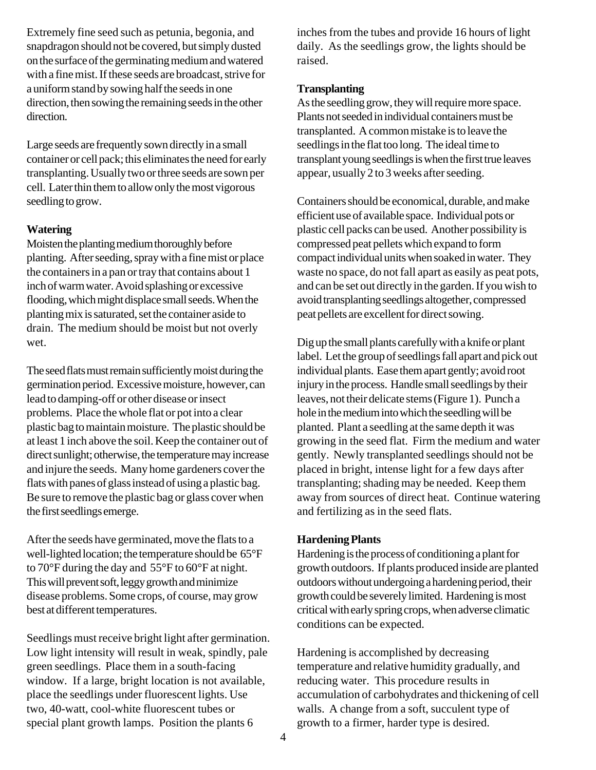Extremely fine seed such as petunia, begonia, and snapdragon should not be covered, but simply dusted on the surface of the germinating medium and watered with a fine mist. If these seeds are broadcast, strive for a uniform stand by sowing half the seeds in one direction, then sowing the remaining seeds in the other direction.

Large seeds are frequently sown directly in a small container or cell pack; this eliminates the need for early transplanting. Usually two or three seeds are sown per cell. Later thin them to allow only the most vigorous seedling to grow.

# **Watering**

Moisten the planting medium thoroughly before planting. After seeding, spray with a fine mist or place the containers in a pan or tray that contains about 1 inch of warm water. Avoid splashing or excessive flooding, which might displace small seeds. When the planting mix is saturated, set the container aside to drain. The medium should be moist but not overly wet.

The seed flats must remain sufficiently moist during the germination period. Excessive moisture, however, can lead to damping-off or other disease or insect problems. Place the whole flat or pot into a clear plastic bag to maintain moisture. The plastic should be at least 1 inch above the soil. Keep the container out of direct sunlight; otherwise, the temperature may increase and injure the seeds. Many home gardeners cover the flats with panes of glass instead of using a plastic bag. Be sure to remove the plastic bag or glass cover when the first seedlings emerge.

After the seeds have germinated, move the flats to a well-lighted location; the temperature should be 65°F to 70°F during the day and 55°F to 60°F at night. This will prevent soft, leggy growth and minimize disease problems. Some crops, of course, may grow best at different temperatures.

Seedlings must receive bright light after germination. Low light intensity will result in weak, spindly, pale green seedlings. Place them in a south-facing window. If a large, bright location is not available, place the seedlings under fluorescent lights. Use two, 40-watt, cool-white fluorescent tubes or special plant growth lamps. Position the plants 6

inches from the tubes and provide 16 hours of light daily. As the seedlings grow, the lights should be raised.

## **Transplanting**

As the seedling grow, they will require more space. Plants not seeded in individual containers must be transplanted. A common mistake is to leave the seedlings in the flat too long. The ideal time to transplant young seedlings is when the first true leaves appear, usually 2 to 3 weeks after seeding.

Containers should be economical, durable, and make efficient use of available space. Individual pots or plastic cell packs can be used. Another possibility is compressed peat pellets which expand to form compact individual units when soaked in water. They waste no space, do not fall apart as easily as peat pots, and can be set out directly in the garden. If you wish to avoid transplanting seedlings altogether, compressed peat pellets are excellent for direct sowing.

Dig up the small plants carefully with a knife or plant label. Let the group of seedlings fall apart and pick out individual plants. Ease them apart gently; avoid root injury in the process. Handle small seedlings by their leaves, not their delicate stems (Figure 1). Punch a hole in the medium into which the seedling will be planted. Plant a seedling at the same depth it was growing in the seed flat. Firm the medium and water gently. Newly transplanted seedlings should not be placed in bright, intense light for a few days after transplanting; shading may be needed. Keep them away from sources of direct heat. Continue watering and fertilizing as in the seed flats.

## **Hardening Plants**

Hardening is the process of conditioning a plant for growth outdoors. If plants produced inside are planted outdoors without undergoing a hardening period, their growth could be severely limited. Hardening is most critical with early spring crops, when adverse climatic conditions can be expected.

Hardening is accomplished by decreasing temperature and relative humidity gradually, and reducing water. This procedure results in accumulation of carbohydrates and thickening of cell walls. A change from a soft, succulent type of growth to a firmer, harder type is desired.